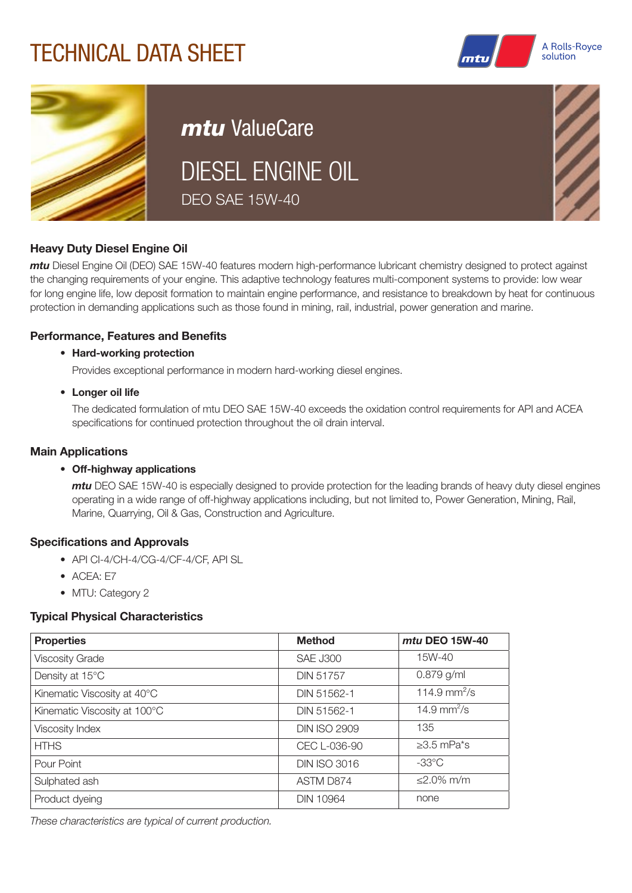# TECHNICAL DATA SHEET





# *mtu* ValueCare DIESEL ENGINE OIL DEO SAE 15W-40



### Heavy Duty Diesel Engine Oil

*mtu* Diesel Engine Oil (DEO) SAE 15W-40 features modern high-performance lubricant chemistry designed to protect against the changing requirements of your engine. This adaptive technology features multi-component systems to provide: low wear for long engine life, low deposit formation to maintain engine performance, and resistance to breakdown by heat for continuous protection in demanding applications such as those found in mining, rail, industrial, power generation and marine.

#### Performance, Features and Benefits

#### • Hard-working protection

Provides exceptional performance in modern hard-working diesel engines.

#### • Longer oil life

The dedicated formulation of mtu DEO SAE 15W-40 exceeds the oxidation control requirements for API and ACEA specifications for continued protection throughout the oil drain interval.

#### Main Applications

#### • Off-highway applications

*mtu* DEO SAE 15W-40 is especially designed to provide protection for the leading brands of heavy duty diesel engines operating in a wide range of off-highway applications including, but not limited to, Power Generation, Mining, Rail, Marine, Quarrying, Oil & Gas, Construction and Agriculture.

#### Specifications and Approvals

- API CI-4/CH-4/CG-4/CF-4/CF, API SL
- ACEA: E7
- MTU: Category 2

### Typical Physical Characteristics

| <b>Properties</b>            | <b>Method</b>       | mtu DEO 15W-40          |
|------------------------------|---------------------|-------------------------|
| <b>Viscosity Grade</b>       | <b>SAE J300</b>     | 15W-40                  |
| Density at 15°C              | <b>DIN 51757</b>    | $0.879$ g/ml            |
| Kinematic Viscosity at 40°C  | DIN 51562-1         | 114.9 $mm^2/s$          |
| Kinematic Viscosity at 100°C | DIN 51562-1         | 14.9 mm <sup>2</sup> /s |
| Viscosity Index              | <b>DIN ISO 2909</b> | 135                     |
| <b>HTHS</b>                  | CEC L-036-90        | $\geq$ 3.5 mPa*s        |
| Pour Point                   | <b>DIN ISO 3016</b> | $-33^{\circ}$ C         |
| Sulphated ash                | ASTM D874           | $\leq$ 2.0% m/m         |
| Product dyeing               | <b>DIN 10964</b>    | none                    |

*These characteristics are typical of current production.*